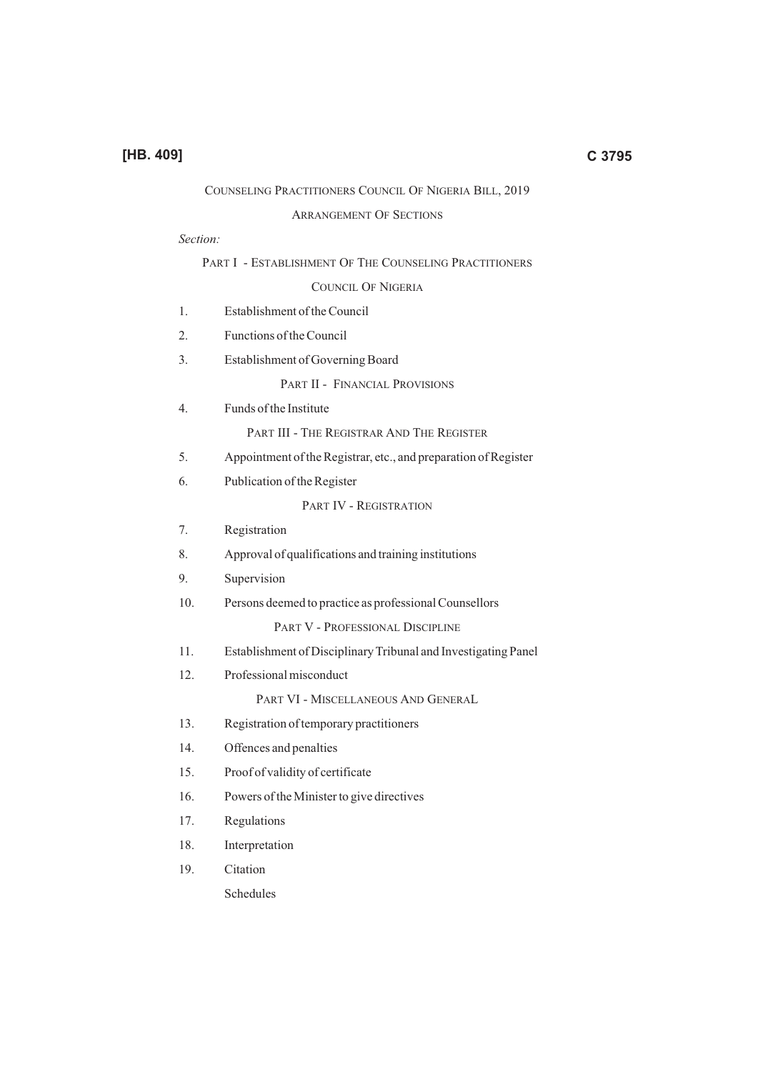# COUNSELING PRACTITIONERS COUNCIL OF NIGERIA BILL, 2019

#### ARRANGEMENT OF SECTIONS

### *Section:*

|     | PART I - ESTABLISHMENT OF THE COUNSELING PRACTITIONERS          |
|-----|-----------------------------------------------------------------|
|     | COUNCIL OF NIGERIA                                              |
| 1.  | Establishment of the Council                                    |
| 2.  | Functions of the Council                                        |
| 3.  | Establishment of Governing Board                                |
|     | PART II - FINANCIAL PROVISIONS                                  |
| 4.  | Funds of the Institute                                          |
|     | PART III - THE REGISTRAR AND THE REGISTER                       |
| 5.  | Appointment of the Registrar, etc., and preparation of Register |
| 6.  | Publication of the Register                                     |
|     | PART IV - REGISTRATION                                          |
| 7.  | Registration                                                    |
| 8.  | Approval of qualifications and training institutions            |
| 9.  | Supervision                                                     |
| 10. | Persons deemed to practice as professional Counsellors          |
|     | PART V - PROFESSIONAL DISCIPLINE                                |
| 11. | Establishment of Disciplinary Tribunal and Investigating Panel  |
| 12. | Professional misconduct                                         |
|     | PART VI - MISCELLANEOUS AND GENERAL                             |
| 13. | Registration of temporary practitioners                         |
| 14. | Offences and penalties                                          |
| 15. | Proof of validity of certificate                                |
| 16. | Powers of the Minister to give directives                       |
| 17. | Regulations                                                     |
| 18. | Interpretation                                                  |
| 19. | Citation                                                        |

Schedules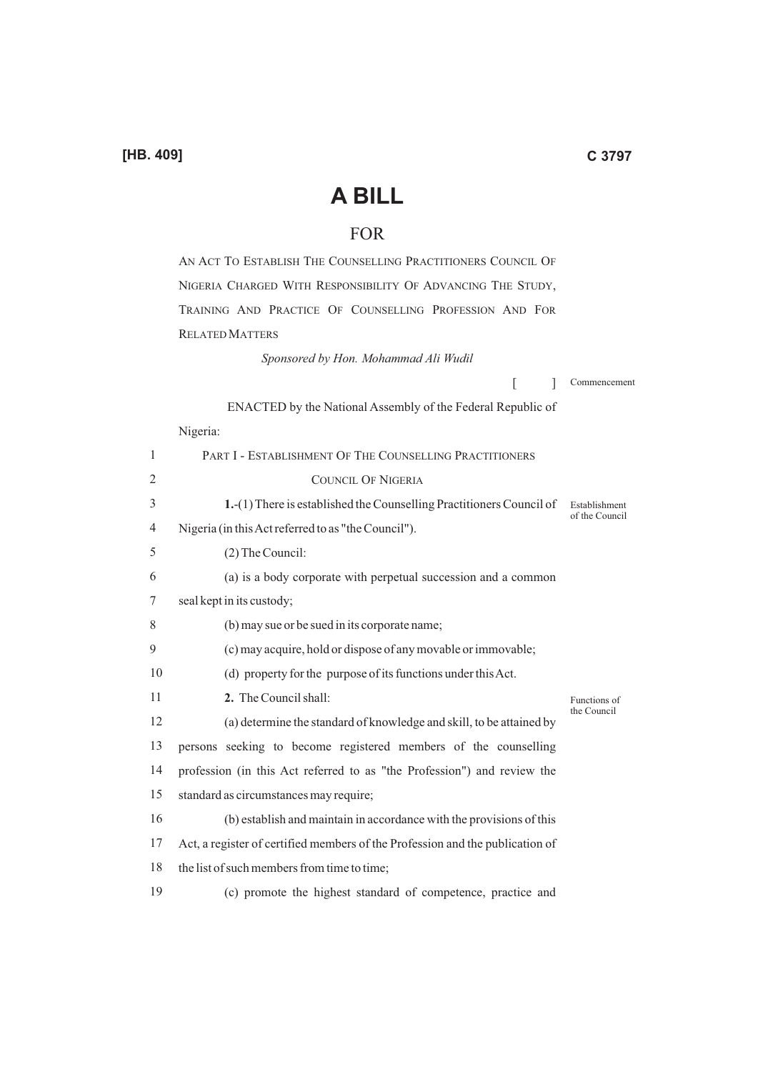# **A BILL**

# FOR

AN ACT TO ESTABLISH THE COUNSELLING PRACTITIONERS COUNCIL OF NIGERIA CHARGED WITH RESPONSIBILITY OF ADVANCING THE STUDY, TRAINING AND PRACTICE OF COUNSELLING PROFESSION AND FOR RELATED MATTERS

*Sponsored by Hon. Mohammad Ali Wudil*

 $\lceil$   $\rceil$ Commencement

ENACTED by the National Assembly of the Federal Republic of

## Nigeria:

| 1  | PART I - ESTABLISHMENT OF THE COUNSELLING PRACTITIONERS                       |                                 |
|----|-------------------------------------------------------------------------------|---------------------------------|
| 2  | <b>COUNCIL OF NIGERIA</b>                                                     |                                 |
| 3  | 1. (1) There is established the Counselling Practitioners Council of          | Establishment<br>of the Council |
| 4  | Nigeria (in this Act referred to as "the Council").                           |                                 |
| 5  | (2) The Council:                                                              |                                 |
| 6  | (a) is a body corporate with perpetual succession and a common                |                                 |
| 7  | seal kept in its custody;                                                     |                                 |
| 8  | (b) may sue or be sued in its corporate name;                                 |                                 |
| 9  | (c) may acquire, hold or dispose of any movable or immovable;                 |                                 |
| 10 | (d) property for the purpose of its functions under this Act.                 |                                 |
| 11 | 2. The Council shall:                                                         | Functions of<br>the Council     |
| 12 | (a) determine the standard of knowledge and skill, to be attained by          |                                 |
| 13 | persons seeking to become registered members of the counselling               |                                 |
| 14 | profession (in this Act referred to as "the Profession") and review the       |                                 |
| 15 | standard as circumstances may require;                                        |                                 |
| 16 | (b) establish and maintain in accordance with the provisions of this          |                                 |
| 17 | Act, a register of certified members of the Profession and the publication of |                                 |
| 18 |                                                                               |                                 |
|    | the list of such members from time to time;                                   |                                 |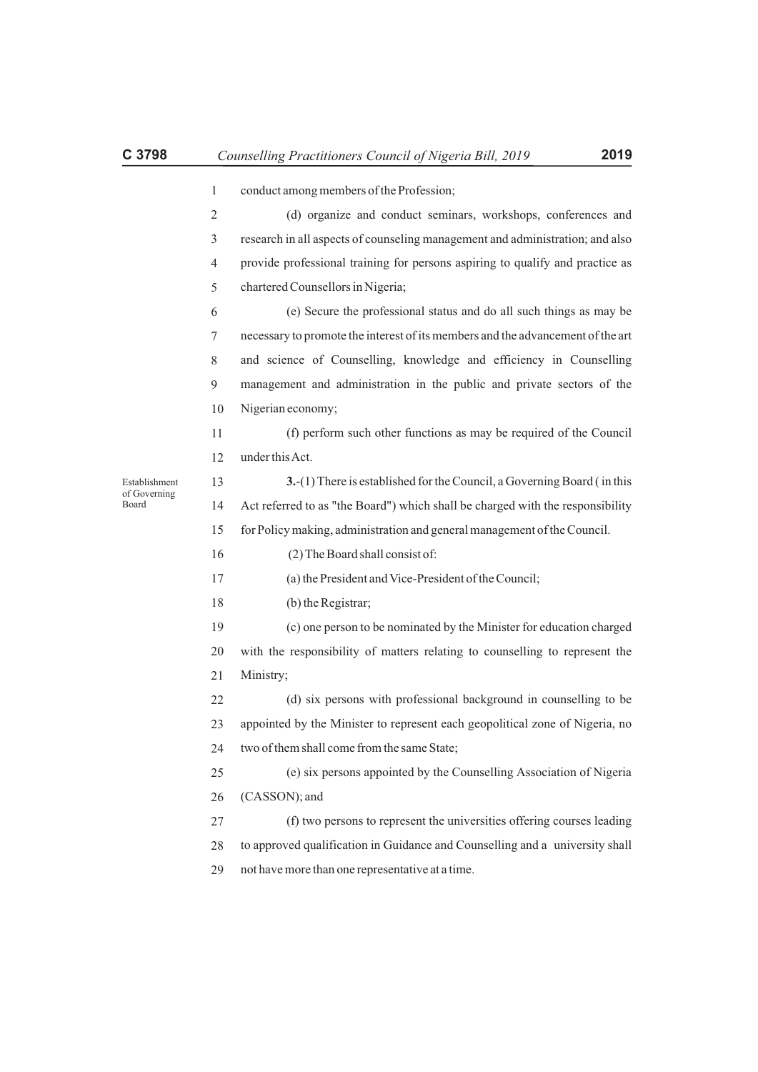|                       | $\mathbf{1}$   | conduct among members of the Profession;                                        |
|-----------------------|----------------|---------------------------------------------------------------------------------|
|                       | 2              | (d) organize and conduct seminars, workshops, conferences and                   |
|                       | 3              | research in all aspects of counseling management and administration; and also   |
|                       | $\overline{4}$ | provide professional training for persons aspiring to qualify and practice as   |
|                       | 5              | chartered Counsellors in Nigeria;                                               |
|                       | 6              | (e) Secure the professional status and do all such things as may be             |
|                       | 7              | necessary to promote the interest of its members and the advancement of the art |
|                       | 8              | and science of Counselling, knowledge and efficiency in Counselling             |
|                       | 9              | management and administration in the public and private sectors of the          |
|                       | 10             | Nigerian economy;                                                               |
|                       | 11             | (f) perform such other functions as may be required of the Council              |
|                       | 12             | under this Act.                                                                 |
| Establishment         | 13             | 3. (1) There is established for the Council, a Governing Board (in this         |
| of Governing<br>Board | 14             | Act referred to as "the Board") which shall be charged with the responsibility  |
|                       | 15             | for Policy making, administration and general management of the Council.        |
|                       | 16             | (2) The Board shall consist of:                                                 |
|                       | 17             | (a) the President and Vice-President of the Council;                            |
|                       | 18             | (b) the Registrar;                                                              |
|                       | 19             | (c) one person to be nominated by the Minister for education charged            |
|                       | 20             | with the responsibility of matters relating to counselling to represent the     |
|                       | 21             | Ministry;                                                                       |
|                       | 22             | (d) six persons with professional background in counselling to be               |
|                       | 23             | appointed by the Minister to represent each geopolitical zone of Nigeria, no    |
|                       | 24             | two of them shall come from the same State;                                     |
|                       | 25             | (e) six persons appointed by the Counselling Association of Nigeria             |
|                       | 26             | (CASSON); and                                                                   |
|                       | 27             | (f) two persons to represent the universities offering courses leading          |
|                       | 28             | to approved qualification in Guidance and Counselling and a university shall    |
|                       | 29             | not have more than one representative at a time.                                |
|                       |                |                                                                                 |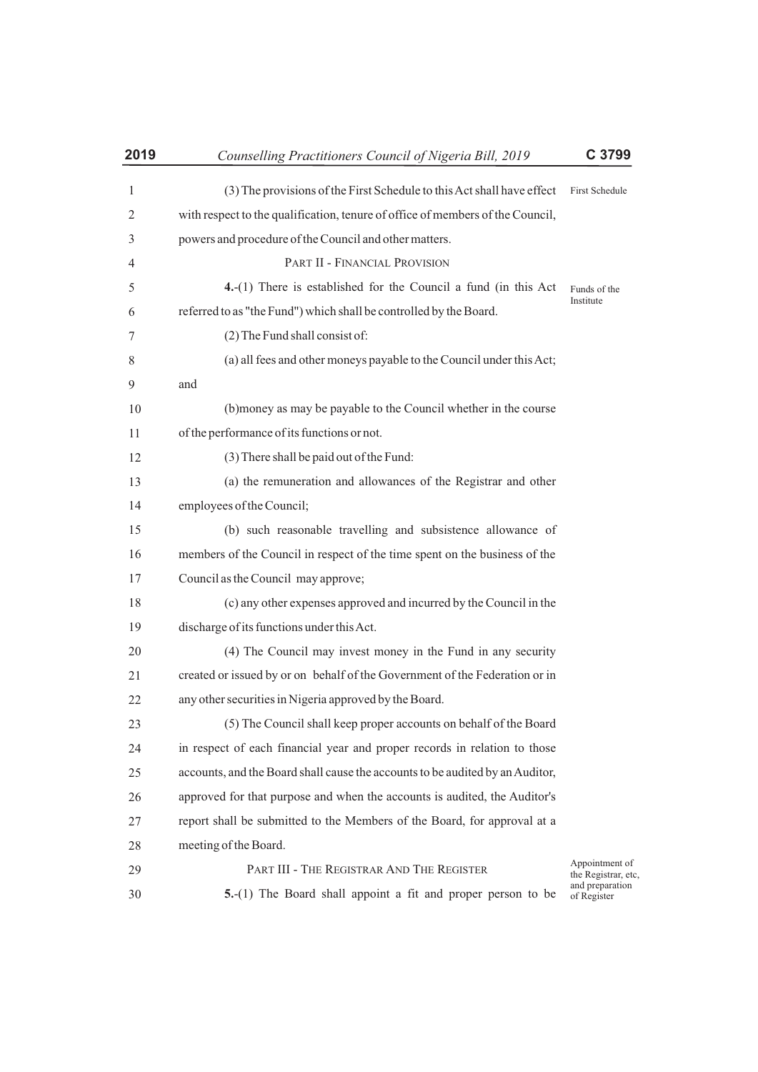| 2019         | Counselling Practitioners Council of Nigeria Bill, 2019                        | C 3799                                |
|--------------|--------------------------------------------------------------------------------|---------------------------------------|
| $\mathbf{1}$ | (3) The provisions of the First Schedule to this Act shall have effect         | <b>First Schedule</b>                 |
| 2            | with respect to the qualification, tenure of office of members of the Council, |                                       |
| 3            | powers and procedure of the Council and other matters.                         |                                       |
| 4            | PART II - FINANCIAL PROVISION                                                  |                                       |
| 5            | $4.-(1)$ There is established for the Council a fund (in this Act              | Funds of the                          |
| 6            | referred to as "the Fund") which shall be controlled by the Board.             | Institute                             |
| 7            | (2) The Fund shall consist of:                                                 |                                       |
| 8            | (a) all fees and other moneys payable to the Council under this Act;           |                                       |
| 9            | and                                                                            |                                       |
| 10           | (b) money as may be payable to the Council whether in the course               |                                       |
| 11           | of the performance of its functions or not.                                    |                                       |
| 12           | (3) There shall be paid out of the Fund:                                       |                                       |
| 13           | (a) the remuneration and allowances of the Registrar and other                 |                                       |
| 14           | employees of the Council;                                                      |                                       |
| 15           | (b) such reasonable travelling and subsistence allowance of                    |                                       |
| 16           | members of the Council in respect of the time spent on the business of the     |                                       |
| 17           | Council as the Council may approve;                                            |                                       |
| 18           | (c) any other expenses approved and incurred by the Council in the             |                                       |
| 19           | discharge of its functions under this Act.                                     |                                       |
| 20           | (4) The Council may invest money in the Fund in any security                   |                                       |
| 21           | created or issued by or on behalf of the Government of the Federation or in    |                                       |
| 22           | any other securities in Nigeria approved by the Board.                         |                                       |
| 23           | (5) The Council shall keep proper accounts on behalf of the Board              |                                       |
| 24           | in respect of each financial year and proper records in relation to those      |                                       |
| 25           | accounts, and the Board shall cause the accounts to be audited by an Auditor,  |                                       |
| 26           | approved for that purpose and when the accounts is audited, the Auditor's      |                                       |
| 27           | report shall be submitted to the Members of the Board, for approval at a       |                                       |
| 28           | meeting of the Board.                                                          |                                       |
| 29           | PART III - THE REGISTRAR AND THE REGISTER                                      | Appointment of<br>the Registrar, etc. |
| 30           | 5.-(1) The Board shall appoint a fit and proper person to be                   | and preparation<br>of Register        |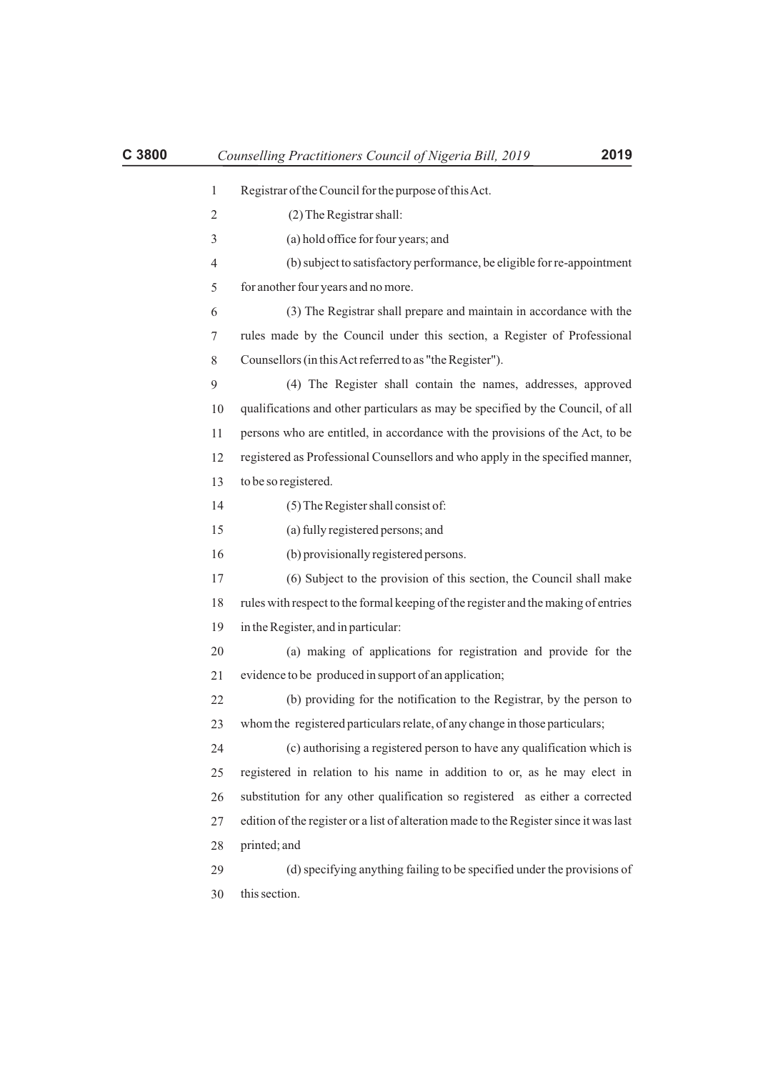| C 3800 |              | Counselling Practitioners Council of Nigeria Bill, 2019<br>2019                        |
|--------|--------------|----------------------------------------------------------------------------------------|
|        | $\mathbf{1}$ | Registrar of the Council for the purpose of this Act.                                  |
|        | 2            | (2) The Registrar shall:                                                               |
|        | 3            | (a) hold office for four years; and                                                    |
|        | 4            | (b) subject to satisfactory performance, be eligible for re-appointment                |
|        | 5            | for another four years and no more.                                                    |
|        | 6            | (3) The Registrar shall prepare and maintain in accordance with the                    |
|        | 7            | rules made by the Council under this section, a Register of Professional               |
|        | 8            | Counsellors (in this Act referred to as "the Register").                               |
|        | 9            | (4) The Register shall contain the names, addresses, approved                          |
|        | 10           | qualifications and other particulars as may be specified by the Council, of all        |
|        | 11           | persons who are entitled, in accordance with the provisions of the Act, to be          |
|        | 12           | registered as Professional Counsellors and who apply in the specified manner,          |
|        | 13           | to be so registered.                                                                   |
|        | 14           | (5) The Register shall consist of:                                                     |
|        | 15           | (a) fully registered persons; and                                                      |
|        | 16           | (b) provisionally registered persons.                                                  |
|        | 17           | (6) Subject to the provision of this section, the Council shall make                   |
|        | 18           | rules with respect to the formal keeping of the register and the making of entries     |
|        | 19           | in the Register, and in particular:                                                    |
|        | 20           | (a) making of applications for registration and provide for the                        |
|        | 21           | evidence to be produced in support of an application;                                  |
|        | 22           | (b) providing for the notification to the Registrar, by the person to                  |
|        | 23           | whom the registered particulars relate, of any change in those particulars;            |
|        | 24           | (c) authorising a registered person to have any qualification which is                 |
|        | 25           | registered in relation to his name in addition to or, as he may elect in               |
|        | 26           | substitution for any other qualification so registered as either a corrected           |
|        | 27           | edition of the register or a list of alteration made to the Register since it was last |
|        | 28           | printed; and                                                                           |
|        | 29           | (d) specifying anything failing to be specified under the provisions of                |
|        | 30           | this section.                                                                          |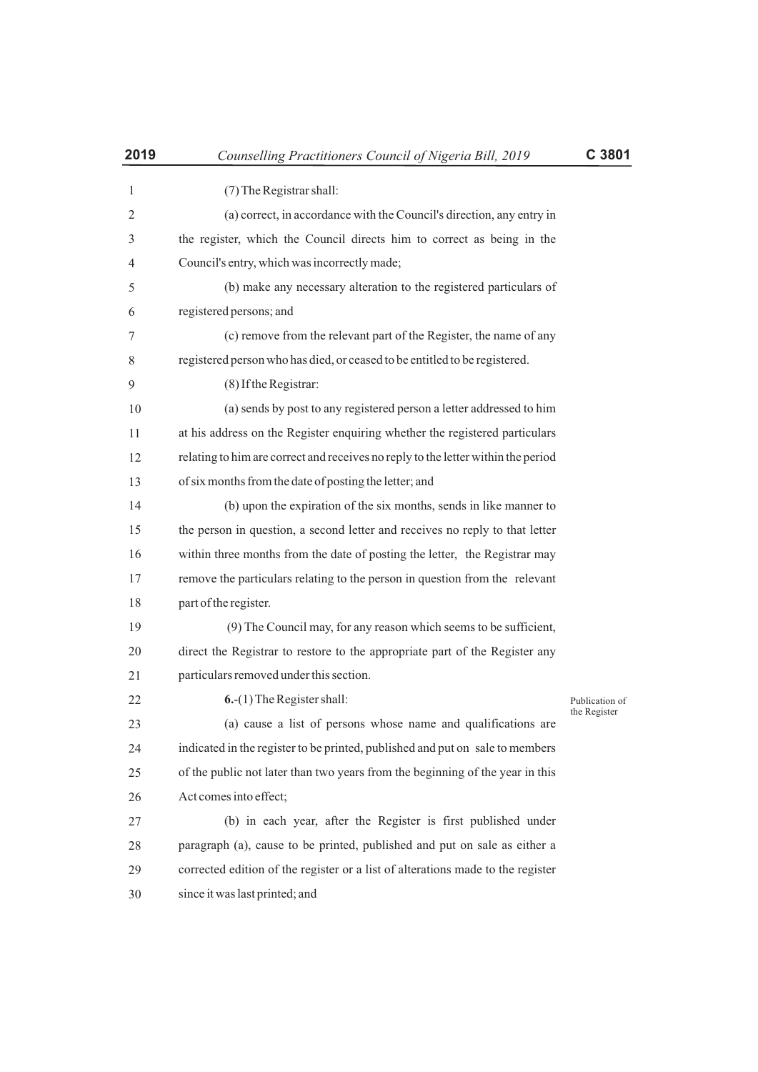| 2019 | Counselling Practitioners Council of Nigeria Bill, 2019                           | C 3801         |
|------|-----------------------------------------------------------------------------------|----------------|
| 1    | (7) The Registrar shall:                                                          |                |
| 2    | (a) correct, in accordance with the Council's direction, any entry in             |                |
| 3    | the register, which the Council directs him to correct as being in the            |                |
| 4    | Council's entry, which was incorrectly made;                                      |                |
| 5    | (b) make any necessary alteration to the registered particulars of                |                |
| 6    | registered persons; and                                                           |                |
| 7    | (c) remove from the relevant part of the Register, the name of any                |                |
| 8    | registered person who has died, or ceased to be entitled to be registered.        |                |
| 9    | (8) If the Registrar:                                                             |                |
| 10   | (a) sends by post to any registered person a letter addressed to him              |                |
| 11   | at his address on the Register enquiring whether the registered particulars       |                |
| 12   | relating to him are correct and receives no reply to the letter within the period |                |
| 13   | of six months from the date of posting the letter; and                            |                |
| 14   | (b) upon the expiration of the six months, sends in like manner to                |                |
| 15   | the person in question, a second letter and receives no reply to that letter      |                |
| 16   | within three months from the date of posting the letter, the Registrar may        |                |
| 17   | remove the particulars relating to the person in question from the relevant       |                |
| 18   | part of the register.                                                             |                |
| 19   | (9) The Council may, for any reason which seems to be sufficient,                 |                |
| 20   | direct the Registrar to restore to the appropriate part of the Register any       |                |
| 21   | particulars removed under this section.                                           |                |
| 22   | $6-(1)$ The Register shall:                                                       | Publication of |
| 23   | (a) cause a list of persons whose name and qualifications are                     | the Register   |
| 24   | indicated in the register to be printed, published and put on sale to members     |                |
| 25   | of the public not later than two years from the beginning of the year in this     |                |
| 26   | Act comes into effect;                                                            |                |
| 27   | (b) in each year, after the Register is first published under                     |                |
| 28   | paragraph (a), cause to be printed, published and put on sale as either a         |                |
| 29   | corrected edition of the register or a list of alterations made to the register   |                |
| 30   | since it was last printed; and                                                    |                |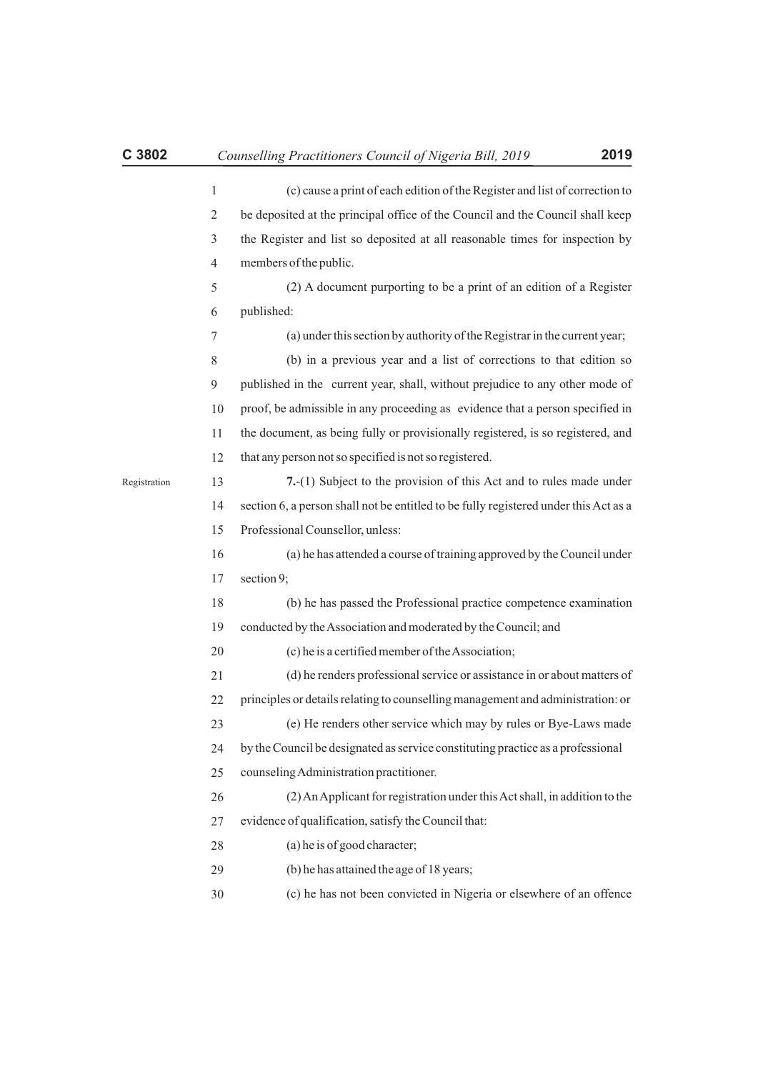|              | $\mathbf{1}$   | (c) cause a print of each edition of the Register and list of correction to          |
|--------------|----------------|--------------------------------------------------------------------------------------|
|              | $\mathfrak{2}$ | be deposited at the principal office of the Council and the Council shall keep       |
|              | 3              | the Register and list so deposited at all reasonable times for inspection by         |
|              | $\overline{4}$ | members of the public.                                                               |
|              | 5              | (2) A document purporting to be a print of an edition of a Register                  |
|              | 6              | published:                                                                           |
|              | 7              | (a) under this section by authority of the Registrar in the current year;            |
|              | 8              | (b) in a previous year and a list of corrections to that edition so                  |
|              | 9              | published in the current year, shall, without prejudice to any other mode of         |
|              | 10             | proof, be admissible in any proceeding as evidence that a person specified in        |
|              | 11             | the document, as being fully or provisionally registered, is so registered, and      |
|              | 12             | that any person not so specified is not so registered.                               |
| Registration | 13             | 7.-(1) Subject to the provision of this Act and to rules made under                  |
|              | 14             | section 6, a person shall not be entitled to be fully registered under this Act as a |
|              | 15             | Professional Counsellor, unless:                                                     |
|              | 16             | (a) he has attended a course of training approved by the Council under               |
|              | 17             | section 9;                                                                           |
|              | 18             | (b) he has passed the Professional practice competence examination                   |
|              | 19             | conducted by the Association and moderated by the Council; and                       |
|              | 20             | (c) he is a certified member of the Association;                                     |
|              | 21             | (d) he renders professional service or assistance in or about matters of             |
|              | 22             | principles or details relating to counselling management and administration: or      |
|              | 23             | (e) He renders other service which may by rules or Bye-Laws made                     |
|              | 24             | by the Council be designated as service constituting practice as a professional      |
|              | 25             | counseling Administration practitioner.                                              |
|              | 26             | (2) An Applicant for registration under this Act shall, in addition to the           |
|              | 27             | evidence of qualification, satisfy the Council that:                                 |
|              | 28             | (a) he is of good character;                                                         |
|              | 29             | (b) he has attained the age of 18 years;                                             |
|              | 30             | (c) he has not been convicted in Nigeria or elsewhere of an offence                  |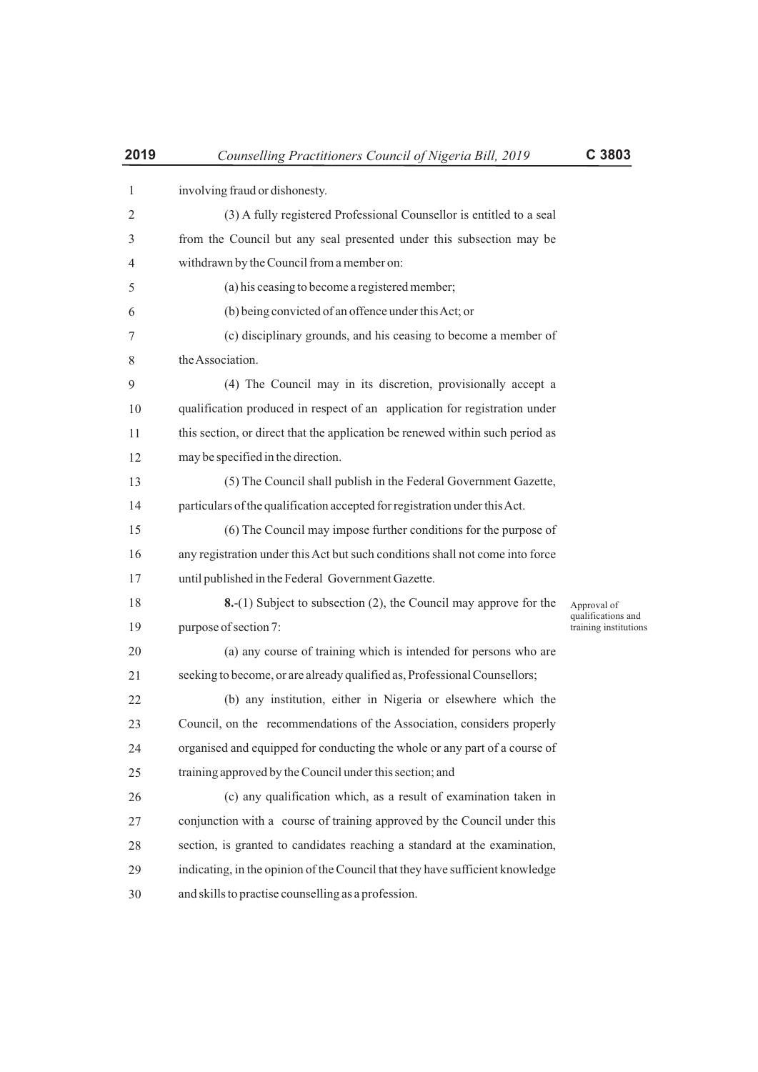| $\mathbf{1}$   | involving fraud or dishonesty.                                                |                                             |
|----------------|-------------------------------------------------------------------------------|---------------------------------------------|
| $\overline{2}$ | (3) A fully registered Professional Counsellor is entitled to a seal          |                                             |
| 3              | from the Council but any seal presented under this subsection may be          |                                             |
| 4              | withdrawn by the Council from a member on:                                    |                                             |
| 5              | (a) his ceasing to become a registered member;                                |                                             |
| 6              | (b) being convicted of an offence under this Act; or                          |                                             |
| 7              | (c) disciplinary grounds, and his ceasing to become a member of               |                                             |
| 8              | the Association.                                                              |                                             |
| 9              | (4) The Council may in its discretion, provisionally accept a                 |                                             |
| 10             | qualification produced in respect of an application for registration under    |                                             |
| 11             | this section, or direct that the application be renewed within such period as |                                             |
| 12             | may be specified in the direction.                                            |                                             |
| 13             | (5) The Council shall publish in the Federal Government Gazette,              |                                             |
| 14             | particulars of the qualification accepted for registration under this Act.    |                                             |
| 15             | (6) The Council may impose further conditions for the purpose of              |                                             |
| 16             | any registration under this Act but such conditions shall not come into force |                                             |
| 17             | until published in the Federal Government Gazette.                            |                                             |
| 18             | <b>8.</b> -(1) Subject to subsection (2), the Council may approve for the     | Approval of                                 |
| 19             | purpose of section 7:                                                         | qualifications and<br>training institutions |
| 20             | (a) any course of training which is intended for persons who are              |                                             |
| 21             | seeking to become, or are already qualified as, Professional Counsellors;     |                                             |
| 22             | (b) any institution, either in Nigeria or elsewhere which the                 |                                             |
| 23             | Council, on the recommendations of the Association, considers properly        |                                             |
| 24             | organised and equipped for conducting the whole or any part of a course of    |                                             |
| 25             | training approved by the Council under this section; and                      |                                             |
| 26             | (c) any qualification which, as a result of examination taken in              |                                             |
| 27             | conjunction with a course of training approved by the Council under this      |                                             |
| 28             | section, is granted to candidates reaching a standard at the examination,     |                                             |
| 29             | indicating, in the opinion of the Council that they have sufficient knowledge |                                             |
| 30             | and skills to practise counselling as a profession.                           |                                             |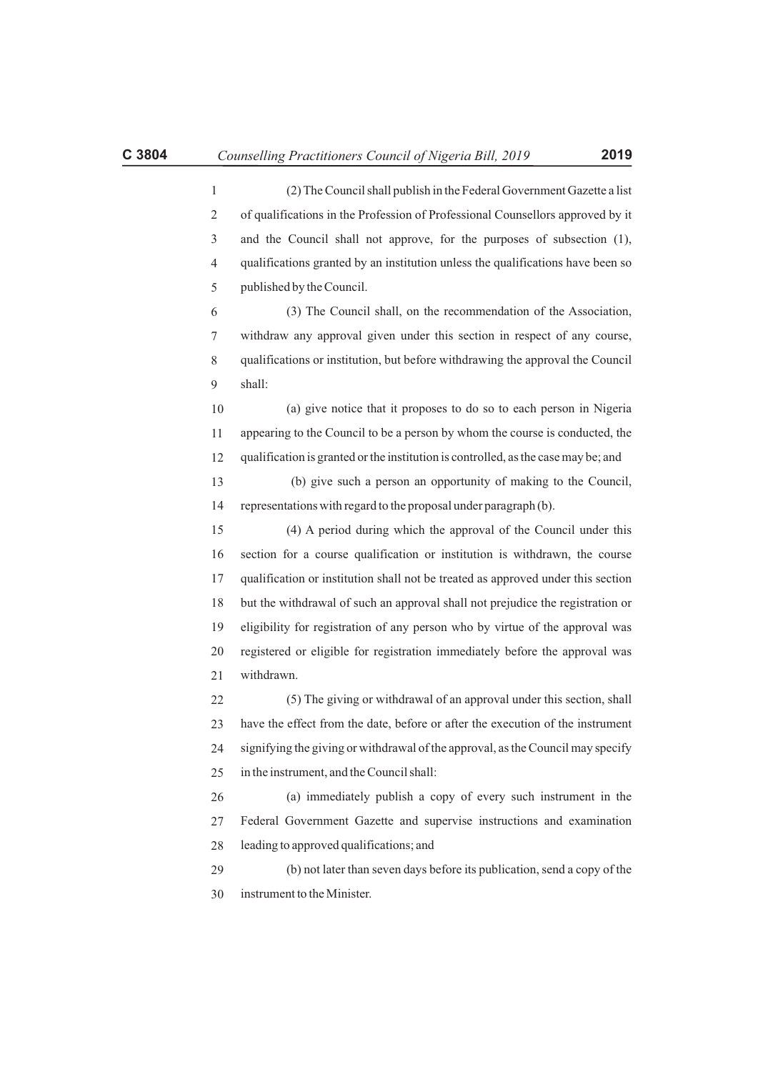2 3 4 5 6 7 8 9 10 11 12 13 14 15 16 17 18 19 20 21 22 23 24 25 26 (2) The Council shall publish in the Federal Government Gazette a list of qualifications in the Profession of Professional Counsellors approved by it and the Council shall not approve, for the purposes of subsection (1), qualifications granted by an institution unless the qualifications have been so published by the Council. (3) The Council shall, on the recommendation of the Association, withdraw any approval given under this section in respect of any course, qualifications or institution, but before withdrawing the approval the Council shall: (a) give notice that it proposes to do so to each person in Nigeria appearing to the Council to be a person by whom the course is conducted, the qualification is granted or the institution is controlled, as the case may be; and (b) give such a person an opportunity of making to the Council, representations with regard to the proposal under paragraph (b). (4) A period during which the approval of the Council under this section for a course qualification or institution is withdrawn, the course qualification or institution shall not be treated as approved under this section but the withdrawal of such an approval shall not prejudice the registration or eligibility for registration of any person who by virtue of the approval was registered or eligible for registration immediately before the approval was withdrawn. (5) The giving or withdrawal of an approval under this section, shall have the effect from the date, before or after the execution of the instrument signifying the giving or withdrawal of the approval, as the Council may specify in the instrument, and the Council shall: (a) immediately publish a copy of every such instrument in the

27 28 Federal Government Gazette and supervise instructions and examination leading to approved qualifications; and

29 30 (b) not later than seven days before its publication, send a copy of the instrument to the Minister.

1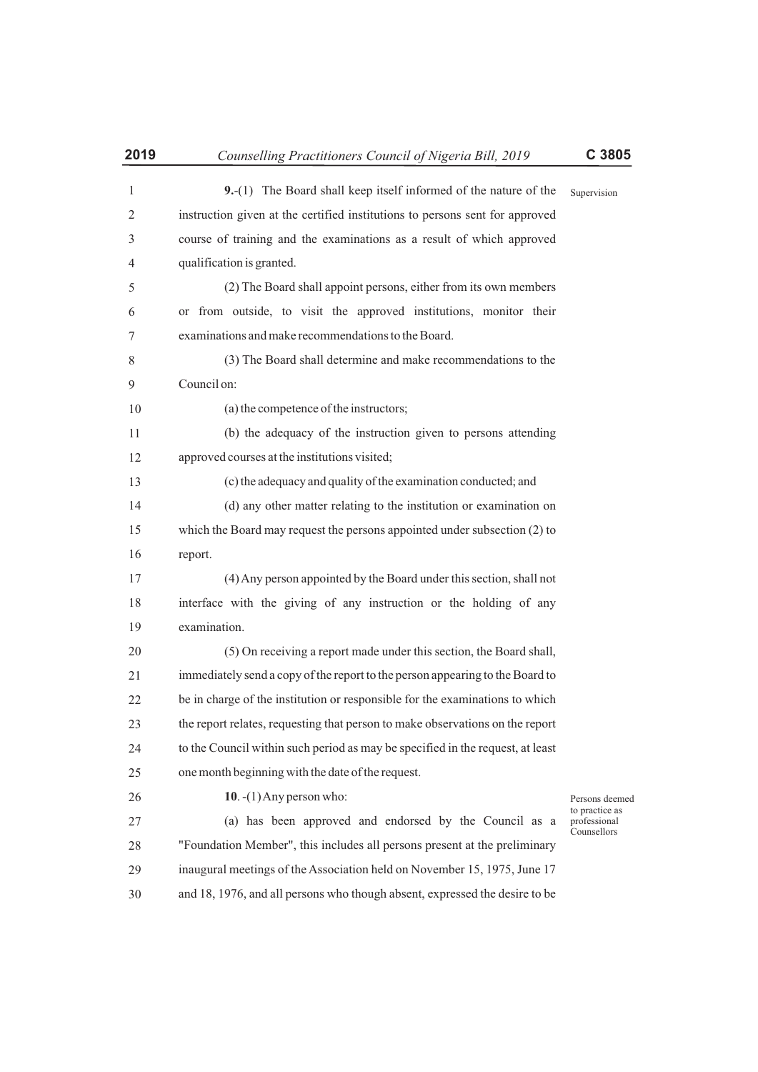instruction given at the certified institutions to persons sent for approved course of training and the examinations as a result of which approved

5 6 7 (2) The Board shall appoint persons, either from its own members or from outside, to visit the approved institutions, monitor their examinations and make recommendations to the Board.

8  $\overline{Q}$ (3) The Board shall determine and make recommendations to the Council on:

(a) the competence of the instructors;

qualification is granted.

11 12 (b) the adequacy of the instruction given to persons attending approved courses at the institutions visited;

13 (c) the adequacy and quality of the examination conducted; and

14 15 16 (d) any other matter relating to the institution or examination on which the Board may request the persons appointed under subsection (2) to report.

17 18 19 (4) Any person appointed by the Board under this section, shall not interface with the giving of any instruction or the holding of any examination.

20 21 22 23 24 25 (5) On receiving a report made under this section, the Board shall, immediately send a copy of the report to the person appearing to the Board to be in charge of the institution or responsible for the examinations to which the report relates, requesting that person to make observations on the report to the Council within such period as may be specified in the request, at least one month beginning with the date of the request.

**10**. -(1) Any person who:

Persons deemed to practice as professional Counsellors

27 28 29 30 (a) has been approved and endorsed by the Council as a "Foundation Member", this includes all persons present at the preliminary inaugural meetings of the Association held on November 15, 1975, June 17 and 18, 1976, and all persons who though absent, expressed the desire to be

 $1<sub>0</sub>$ 

26

Supervision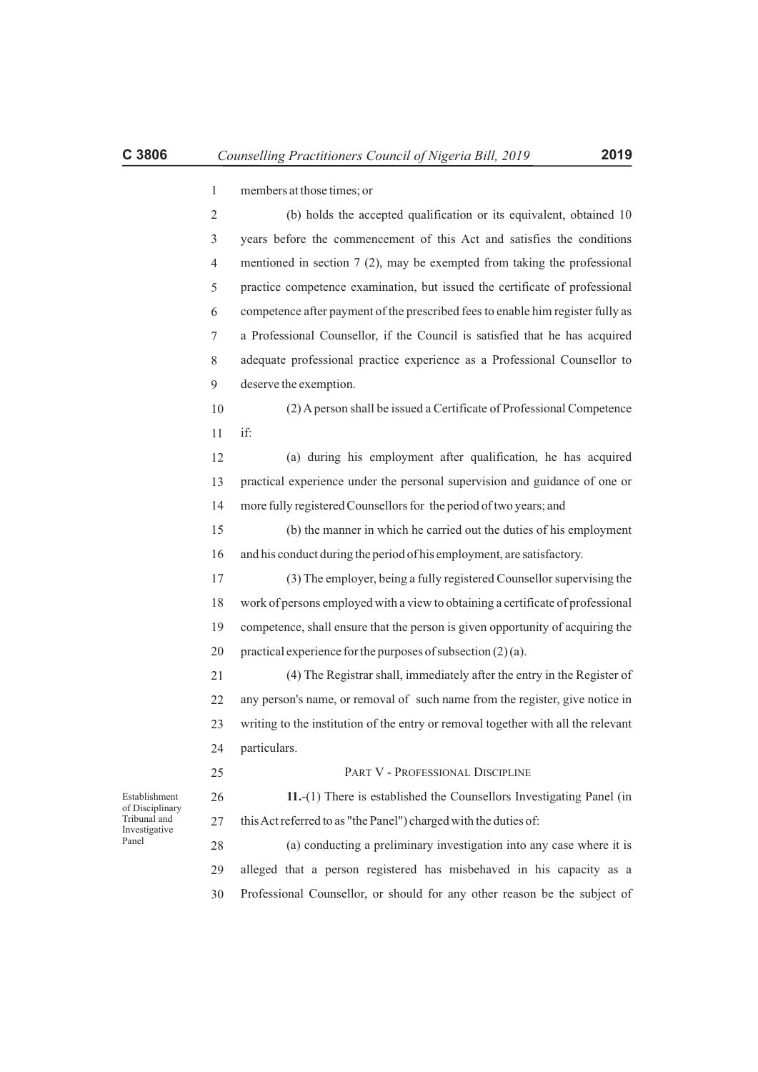| $\mathbf{1}$   | members at those times; or                                                        |
|----------------|-----------------------------------------------------------------------------------|
| $\overline{2}$ | (b) holds the accepted qualification or its equivalent, obtained 10               |
| 3              | years before the commencement of this Act and satisfies the conditions            |
| $\overline{4}$ | mentioned in section $7(2)$ , may be exempted from taking the professional        |
| 5              | practice competence examination, but issued the certificate of professional       |
| 6              | competence after payment of the prescribed fees to enable him register fully as   |
| 7              | a Professional Counsellor, if the Council is satisfied that he has acquired       |
| 8              | adequate professional practice experience as a Professional Counsellor to         |
| 9              | deserve the exemption.                                                            |
| 10             | (2) A person shall be issued a Certificate of Professional Competence             |
| 11             | if:                                                                               |
| 12             | (a) during his employment after qualification, he has acquired                    |
| 13             | practical experience under the personal supervision and guidance of one or        |
| 14             | more fully registered Counsellors for the period of two years; and                |
| 15             | (b) the manner in which he carried out the duties of his employment               |
| 16             | and his conduct during the period of his employment, are satisfactory.            |
| 17             | (3) The employer, being a fully registered Counsellor supervising the             |
| 18             | work of persons employed with a view to obtaining a certificate of professional   |
| 19             | competence, shall ensure that the person is given opportunity of acquiring the    |
| 20             | practical experience for the purposes of subsection (2)(a).                       |
| 21             | (4) The Registrar shall, immediately after the entry in the Register of           |
| 22             | any person's name, or removal of such name from the register, give notice in      |
| 23             | writing to the institution of the entry or removal together with all the relevant |
| 24             | particulars.                                                                      |
| 25             | PART V - PROFESSIONAL DISCIPLINE                                                  |
| 26             | 11.-(1) There is established the Counsellors Investigating Panel (in              |
| 27             | this Act referred to as "the Panel") charged with the duties of:                  |
| 28             | (a) conducting a preliminary investigation into any case where it is              |

Establishment of Disciplinary Tribunal and Investigative Panel

29 30 (a) conducting a preliminary investigation into any case where it is alleged that a person registered has misbehaved in his capacity as a Professional Counsellor, or should for any other reason be the subject of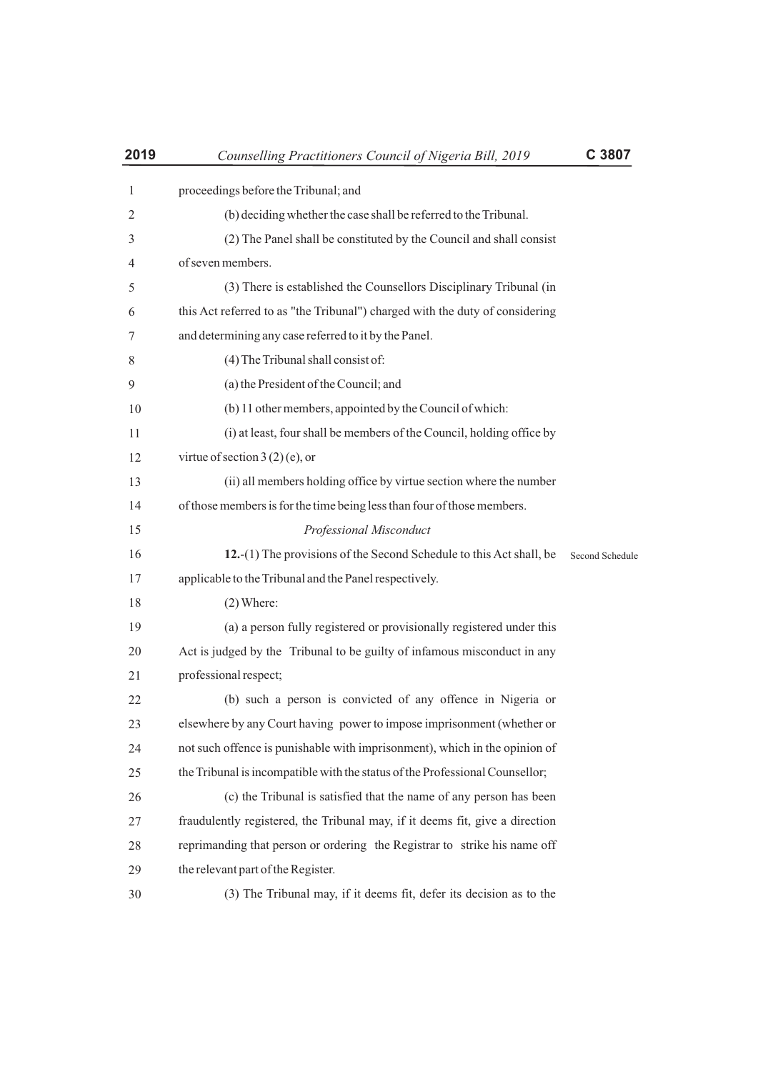| 2019           | Counselling Practitioners Council of Nigeria Bill, 2019                      | C 3807          |
|----------------|------------------------------------------------------------------------------|-----------------|
| 1              | proceedings before the Tribunal; and                                         |                 |
| 2              | (b) deciding whether the case shall be referred to the Tribunal.             |                 |
| 3              | (2) The Panel shall be constituted by the Council and shall consist          |                 |
| $\overline{4}$ | of seven members.                                                            |                 |
| 5              | (3) There is established the Counsellors Disciplinary Tribunal (in           |                 |
| 6              | this Act referred to as "the Tribunal") charged with the duty of considering |                 |
| 7              | and determining any case referred to it by the Panel.                        |                 |
| 8              | (4) The Tribunal shall consist of:                                           |                 |
| 9              | (a) the President of the Council; and                                        |                 |
| 10             | (b) 11 other members, appointed by the Council of which:                     |                 |
| 11             | (i) at least, four shall be members of the Council, holding office by        |                 |
| 12             | virtue of section $3(2)$ (e), or                                             |                 |
| 13             | (ii) all members holding office by virtue section where the number           |                 |
| 14             | of those members is for the time being less than four of those members.      |                 |
| 15             | Professional Misconduct                                                      |                 |
| 16             | 12.-(1) The provisions of the Second Schedule to this Act shall, be          | Second Schedule |
| 17             | applicable to the Tribunal and the Panel respectively.                       |                 |
| 18             | $(2)$ Where:                                                                 |                 |
| 19             | (a) a person fully registered or provisionally registered under this         |                 |
| 20             | Act is judged by the Tribunal to be guilty of infamous misconduct in any     |                 |
| 21             | professional respect;                                                        |                 |
| 22             | (b) such a person is convicted of any offence in Nigeria or                  |                 |
| 23             | elsewhere by any Court having power to impose imprisonment (whether or       |                 |
| 24             | not such offence is punishable with imprisonment), which in the opinion of   |                 |
| 25             | the Tribunal is incompatible with the status of the Professional Counsellor; |                 |
| 26             | (c) the Tribunal is satisfied that the name of any person has been           |                 |
| 27             | fraudulently registered, the Tribunal may, if it deems fit, give a direction |                 |
| 28             | reprimanding that person or ordering the Registrar to strike his name off    |                 |
| 29             | the relevant part of the Register.                                           |                 |
| 30             | (3) The Tribunal may, if it deems fit, defer its decision as to the          |                 |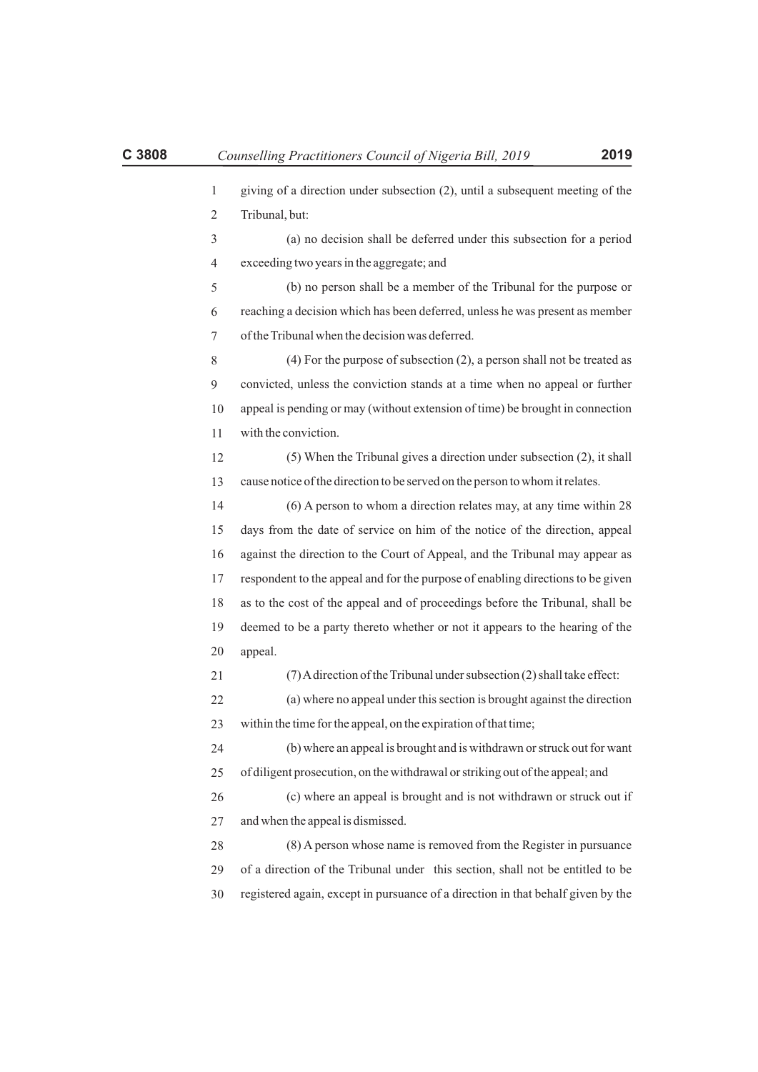| $\mathbf{1}$   | giving of a direction under subsection (2), until a subsequent meeting of the    |
|----------------|----------------------------------------------------------------------------------|
| $\overline{2}$ | Tribunal, but:                                                                   |
| 3              | (a) no decision shall be deferred under this subsection for a period             |
| 4              | exceeding two years in the aggregate; and                                        |
| 5              | (b) no person shall be a member of the Tribunal for the purpose or               |
| 6              | reaching a decision which has been deferred, unless he was present as member     |
| 7              | of the Tribunal when the decision was deferred.                                  |
| 8              | $(4)$ For the purpose of subsection $(2)$ , a person shall not be treated as     |
| 9              | convicted, unless the conviction stands at a time when no appeal or further      |
| 10             | appeal is pending or may (without extension of time) be brought in connection    |
| 11             | with the conviction.                                                             |
| 12             | (5) When the Tribunal gives a direction under subsection (2), it shall           |
| 13             | cause notice of the direction to be served on the person to whom it relates.     |
| 14             | (6) A person to whom a direction relates may, at any time within 28              |
| 15             | days from the date of service on him of the notice of the direction, appeal      |
| 16             | against the direction to the Court of Appeal, and the Tribunal may appear as     |
| 17             | respondent to the appeal and for the purpose of enabling directions to be given  |
| 18             | as to the cost of the appeal and of proceedings before the Tribunal, shall be    |
| 19             | deemed to be a party thereto whether or not it appears to the hearing of the     |
| 20             | appeal.                                                                          |
| 21             | (7) A direction of the Tribunal under subsection (2) shall take effect:          |
| 22             | (a) where no appeal under this section is brought against the direction          |
| 23             | within the time for the appeal, on the expiration of that time;                  |
| 24             | (b) where an appeal is brought and is withdrawn or struck out for want           |
| 25             | of diligent prosecution, on the withdrawal or striking out of the appeal; and    |
| 26             | (c) where an appeal is brought and is not withdrawn or struck out if             |
| 27             | and when the appeal is dismissed.                                                |
| 28             | (8) A person whose name is removed from the Register in pursuance                |
| 29             | of a direction of the Tribunal under this section, shall not be entitled to be   |
| 30             | registered again, except in pursuance of a direction in that behalf given by the |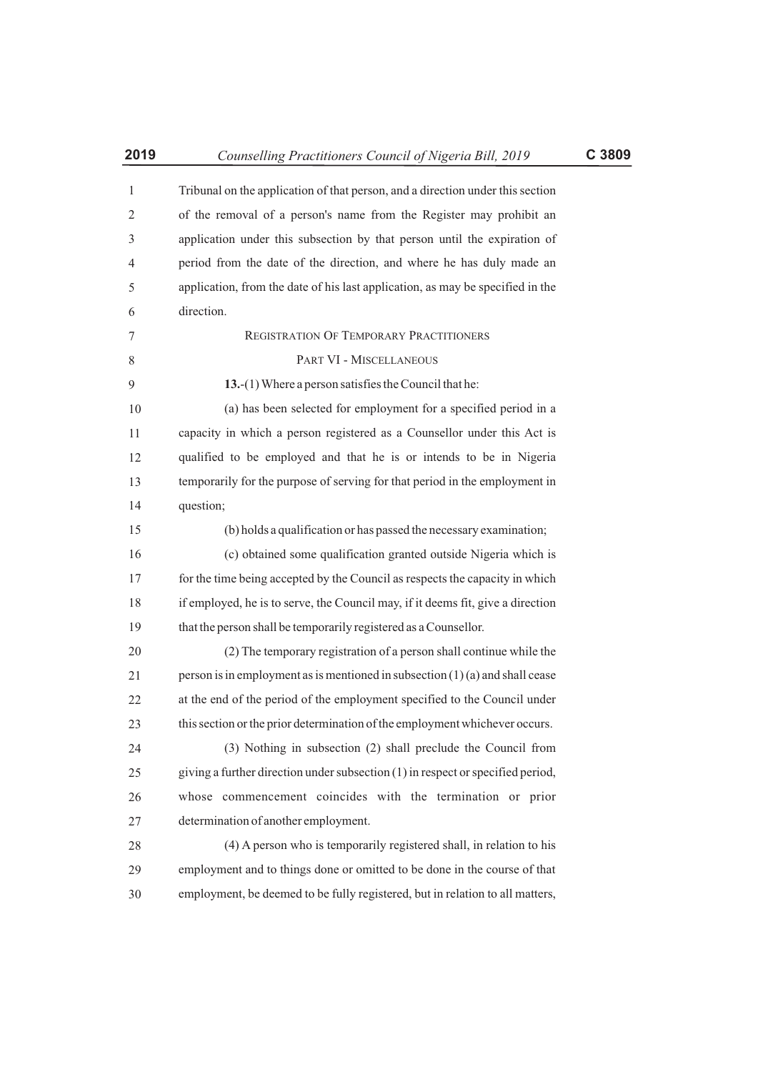| 2019           | Counselling Practitioners Council of Nigeria Bill, 2019                         | C 3809 |
|----------------|---------------------------------------------------------------------------------|--------|
| $\mathbf{1}$   | Tribunal on the application of that person, and a direction under this section  |        |
| $\overline{2}$ | of the removal of a person's name from the Register may prohibit an             |        |
| 3              | application under this subsection by that person until the expiration of        |        |
| 4              | period from the date of the direction, and where he has duly made an            |        |
| 5              | application, from the date of his last application, as may be specified in the  |        |
| 6              | direction.                                                                      |        |
| 7              | REGISTRATION OF TEMPORARY PRACTITIONERS                                         |        |
| 8              | PART VI - MISCELLANEOUS                                                         |        |
| 9              | 13.- $(1)$ Where a person satisfies the Council that he:                        |        |
| 10             | (a) has been selected for employment for a specified period in a                |        |
| 11             | capacity in which a person registered as a Counsellor under this Act is         |        |
| 12             | qualified to be employed and that he is or intends to be in Nigeria             |        |
| 13             | temporarily for the purpose of serving for that period in the employment in     |        |
| 14             | question;                                                                       |        |
| 15             | (b) holds a qualification or has passed the necessary examination;              |        |
| 16             | (c) obtained some qualification granted outside Nigeria which is                |        |
| 17             | for the time being accepted by the Council as respects the capacity in which    |        |
| 18             | if employed, he is to serve, the Council may, if it deems fit, give a direction |        |
| 19             | that the person shall be temporarily registered as a Counsellor.                |        |
| 20             | (2) The temporary registration of a person shall continue while the             |        |
| 21             | person is in employment as is mentioned in subsection $(1)(a)$ and shall cease  |        |
| 22             | at the end of the period of the employment specified to the Council under       |        |
| 23             | this section or the prior determination of the employment whichever occurs.     |        |
| 24             | (3) Nothing in subsection (2) shall preclude the Council from                   |        |
| 25             | giving a further direction under subsection (1) in respect or specified period, |        |
| 26             | whose commencement coincides with the termination or prior                      |        |
| 27             | determination of another employment.                                            |        |

28 29 30 (4) A person who is temporarily registered shall, in relation to his employment and to things done or omitted to be done in the course of that employment, be deemed to be fully registered, but in relation to all matters,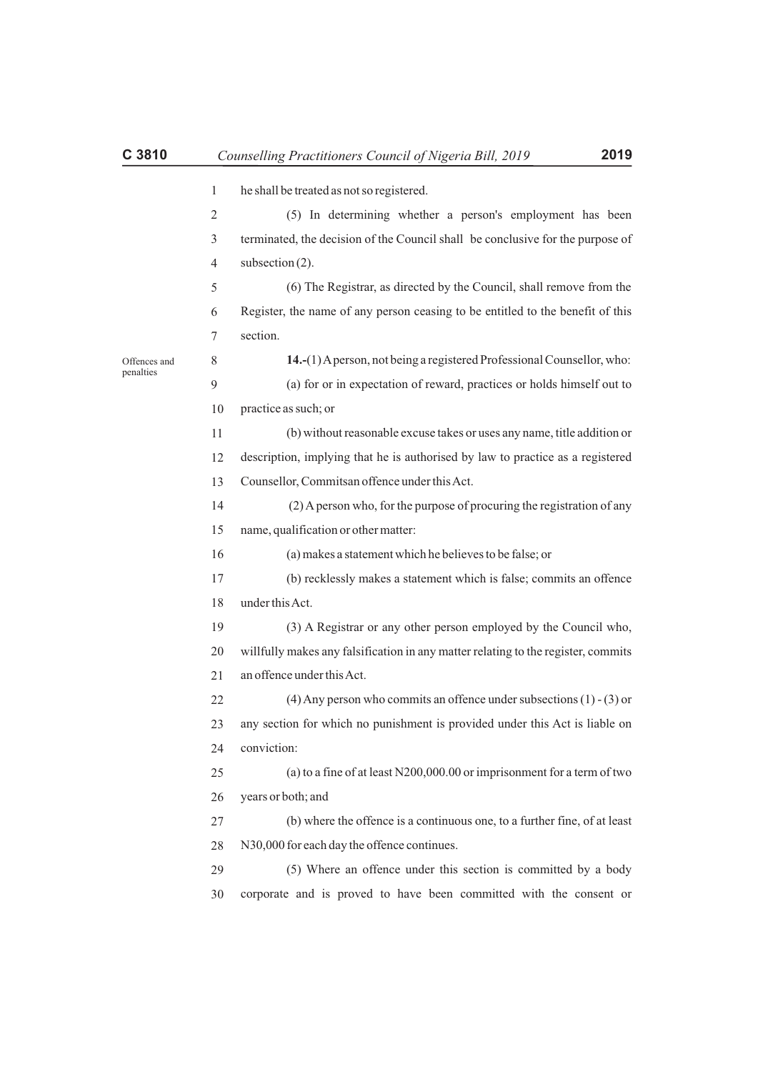|                           | $\mathbf{1}$   | he shall be treated as not so registered.                                         |
|---------------------------|----------------|-----------------------------------------------------------------------------------|
|                           | 2              | (5) In determining whether a person's employment has been                         |
|                           | 3              | terminated, the decision of the Council shall be conclusive for the purpose of    |
|                           | $\overline{4}$ | subsection $(2)$ .                                                                |
|                           | 5              | (6) The Registrar, as directed by the Council, shall remove from the              |
|                           | 6              | Register, the name of any person ceasing to be entitled to the benefit of this    |
|                           | 7              | section.                                                                          |
|                           | 8              | 14.-(1) A person, not being a registered Professional Counsellor, who:            |
|                           | $\overline{9}$ | (a) for or in expectation of reward, practices or holds himself out to            |
| Offences and<br>penalties | 10             | practice as such; or                                                              |
|                           | 11             | (b) without reasonable excuse takes or uses any name, title addition or           |
|                           | 12             | description, implying that he is authorised by law to practice as a registered    |
|                           | 13             | Counsellor, Commitsan offence under this Act.                                     |
|                           | 14             | (2) A person who, for the purpose of procuring the registration of any            |
|                           | 15             | name, qualification or other matter:                                              |
|                           | 16             | (a) makes a statement which he believes to be false; or                           |
|                           | 17             | (b) recklessly makes a statement which is false; commits an offence               |
|                           | 18             | under this Act.                                                                   |
|                           | 19             | (3) A Registrar or any other person employed by the Council who,                  |
|                           | 20             | willfully makes any falsification in any matter relating to the register, commits |
|                           | 21             | an offence under this Act.                                                        |
|                           | 22             | $(4)$ Any person who commits an offence under subsections $(1)$ - $(3)$ or        |
|                           | 23             | any section for which no punishment is provided under this Act is liable on       |
|                           | 24             | conviction:                                                                       |
|                           | 25             | (a) to a fine of at least $N200,000.00$ or imprisonment for a term of two         |
|                           | 26             | years or both; and                                                                |
|                           | 27             | (b) where the offence is a continuous one, to a further fine, of at least         |
|                           | 28             | N30,000 for each day the offence continues.                                       |
|                           | 29             | (5) Where an offence under this section is committed by a body                    |
|                           | 30             | corporate and is proved to have been committed with the consent or                |
|                           |                |                                                                                   |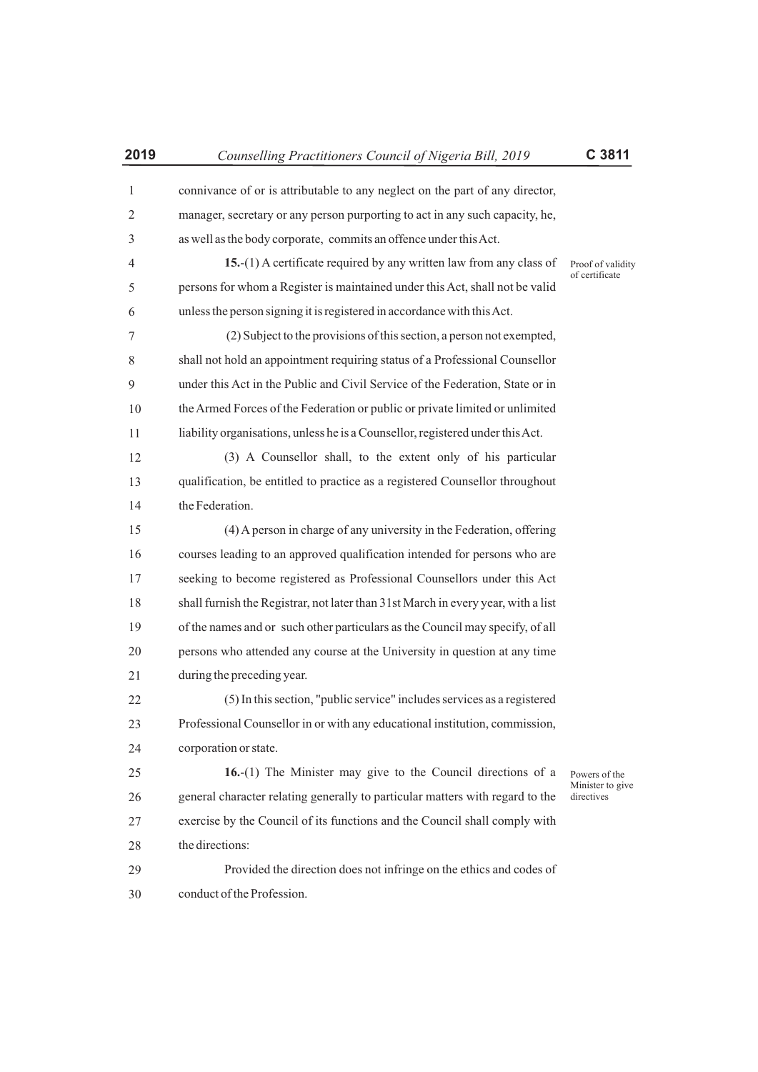| $\mathbf{1}$ | connivance of or is attributable to any neglect on the part of any director,      |                                |
|--------------|-----------------------------------------------------------------------------------|--------------------------------|
| 2            | manager, secretary or any person purporting to act in any such capacity, he,      |                                |
| 3            | as well as the body corporate, commits an offence under this Act.                 |                                |
| 4            | 15.-(1) A certificate required by any written law from any class of               | Proof of validity              |
| 5            | persons for whom a Register is maintained under this Act, shall not be valid      | of certificate                 |
| 6            | unless the person signing it is registered in accordance with this Act.           |                                |
| 7            | (2) Subject to the provisions of this section, a person not exempted,             |                                |
| 8            | shall not hold an appointment requiring status of a Professional Counsellor       |                                |
| 9            | under this Act in the Public and Civil Service of the Federation, State or in     |                                |
| 10           | the Armed Forces of the Federation or public or private limited or unlimited      |                                |
| 11           | liability organisations, unless he is a Counsellor, registered under this Act.    |                                |
| 12           | (3) A Counsellor shall, to the extent only of his particular                      |                                |
| 13           | qualification, be entitled to practice as a registered Counsellor throughout      |                                |
| 14           | the Federation.                                                                   |                                |
| 15           | (4) A person in charge of any university in the Federation, offering              |                                |
| 16           | courses leading to an approved qualification intended for persons who are         |                                |
| 17           | seeking to become registered as Professional Counsellors under this Act           |                                |
| 18           | shall furnish the Registrar, not later than 31st March in every year, with a list |                                |
| 19           | of the names and or such other particulars as the Council may specify, of all     |                                |
| 20           | persons who attended any course at the University in question at any time         |                                |
| 21           | during the preceding year.                                                        |                                |
| 22           | (5) In this section, "public service" includes services as a registered           |                                |
| 23           | Professional Counsellor in or with any educational institution, commission,       |                                |
| 24           | corporation or state.                                                             |                                |
| 25           | $16-(1)$ The Minister may give to the Council directions of a                     | Powers of the                  |
| 26           | general character relating generally to particular matters with regard to the     | Minister to give<br>directives |
| 27           | exercise by the Council of its functions and the Council shall comply with        |                                |
| 28           | the directions:                                                                   |                                |
| 29           | Provided the direction does not infringe on the ethics and codes of               |                                |
| 30           | conduct of the Profession.                                                        |                                |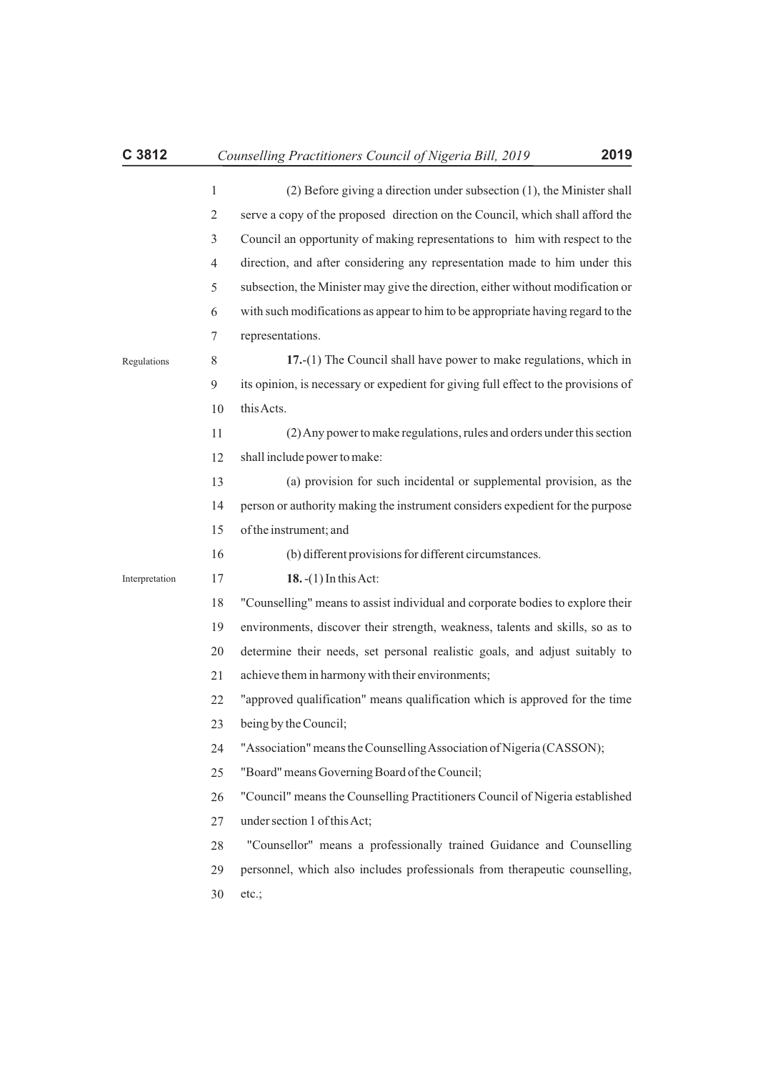1 2 3 4 5 6 7 8 9 10 11 12 13 14 15 (2) Before giving a direction under subsection (1), the Minister shall serve a copy of the proposed direction on the Council, which shall afford the Council an opportunity of making representations to him with respect to the direction, and after considering any representation made to him under this subsection, the Minister may give the direction, either without modification or with such modifications as appear to him to be appropriate having regard to the representations. **17.**-(1) The Council shall have power to make regulations, which in its opinion, is necessary or expedient for giving full effect to the provisions of this Acts. (2) Any power to make regulations, rules and orders under this section shall include power to make: (a) provision for such incidental or supplemental provision, as the person or authority making the instrument considers expedient for the purpose of the instrument; and Regulations

> 16 (b) different provisions for different circumstances.

17 **18.**-(1) In this Act: Interpretation

> 18 "Counselling" means to assist individual and corporate bodies to explore their

> 19 environments, discover their strength, weakness, talents and skills, so as to

> 20 21 determine their needs, set personal realistic goals, and adjust suitably to achieve them in harmony with their environments;

> 22 "approved qualification" means qualification which is approved for the time

- 23 being by the Council;
- 24 "Association" means the Counselling Association of Nigeria (CASSON);

25 "Board" means Governing Board of the Council;

26 27 "Council" means the Counselling Practitioners Council of Nigeria established under section 1 of this Act;

28 "Counsellor" means a professionally trained Guidance and Counselling

29 personnel, which also includes professionals from therapeutic counselling,

30 etc.;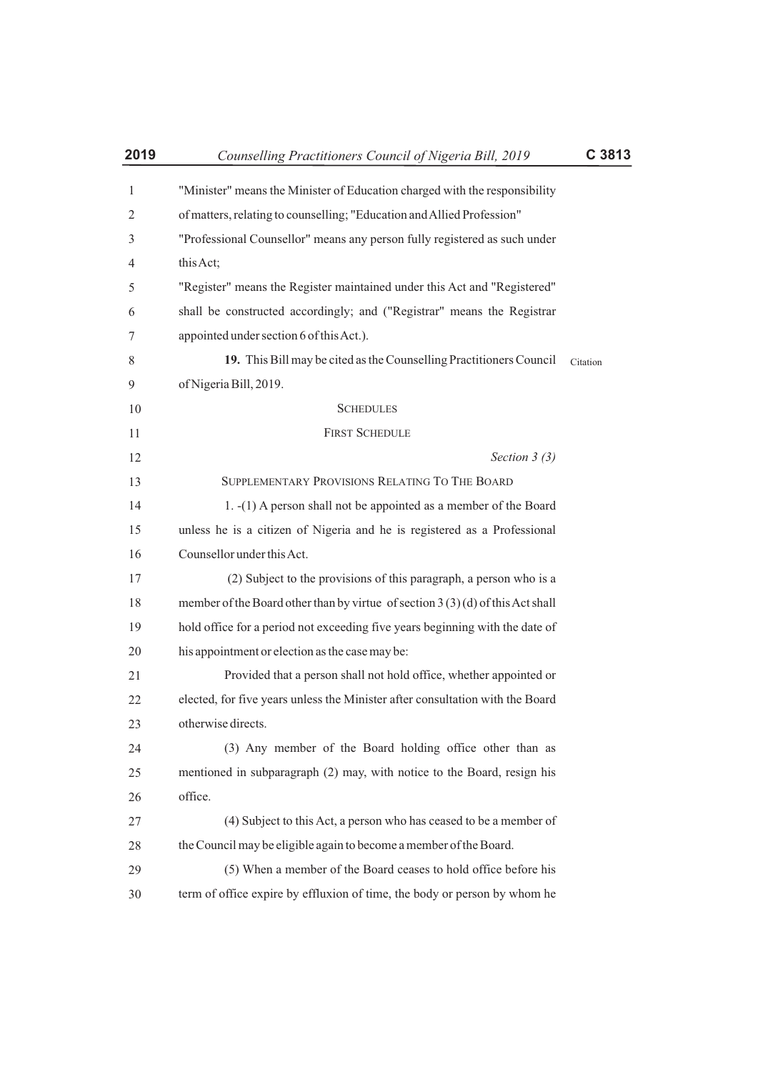| 2019 | Counselling Practitioners Council of Nigeria Bill, 2019                         | C 3813   |
|------|---------------------------------------------------------------------------------|----------|
| 1    | "Minister" means the Minister of Education charged with the responsibility      |          |
| 2    | of matters, relating to counselling; "Education and Allied Profession"          |          |
| 3    | "Professional Counsellor" means any person fully registered as such under       |          |
| 4    | this Act;                                                                       |          |
| 5    | "Register" means the Register maintained under this Act and "Registered"        |          |
| 6    | shall be constructed accordingly; and ("Registrar" means the Registrar          |          |
| 7    | appointed under section 6 of this Act.).                                        |          |
| 8    | 19. This Bill may be cited as the Counselling Practitioners Council             | Citation |
| 9    | of Nigeria Bill, 2019.                                                          |          |
| 10   | <b>SCHEDULES</b>                                                                |          |
| 11   | <b>FIRST SCHEDULE</b>                                                           |          |
| 12   | Section $3(3)$                                                                  |          |
| 13   | SUPPLEMENTARY PROVISIONS RELATING TO THE BOARD                                  |          |
| 14   | 1. -(1) A person shall not be appointed as a member of the Board                |          |
| 15   | unless he is a citizen of Nigeria and he is registered as a Professional        |          |
| 16   | Counsellor under this Act.                                                      |          |
| 17   | (2) Subject to the provisions of this paragraph, a person who is a              |          |
| 18   | member of the Board other than by virtue of section $3(3)(d)$ of this Act shall |          |
| 19   | hold office for a period not exceeding five years beginning with the date of    |          |
| 20   | his appointment or election as the case may be:                                 |          |
| 21   | Provided that a person shall not hold office, whether appointed or              |          |
| 22   | elected, for five years unless the Minister after consultation with the Board   |          |
| 23   | otherwise directs.                                                              |          |
| 24   | (3) Any member of the Board holding office other than as                        |          |
| 25   | mentioned in subparagraph (2) may, with notice to the Board, resign his         |          |
| 26   | office.                                                                         |          |
| 27   | (4) Subject to this Act, a person who has ceased to be a member of              |          |
| 28   | the Council may be eligible again to become a member of the Board.              |          |
| 29   | (5) When a member of the Board ceases to hold office before his                 |          |
| 30   | term of office expire by effluxion of time, the body or person by whom he       |          |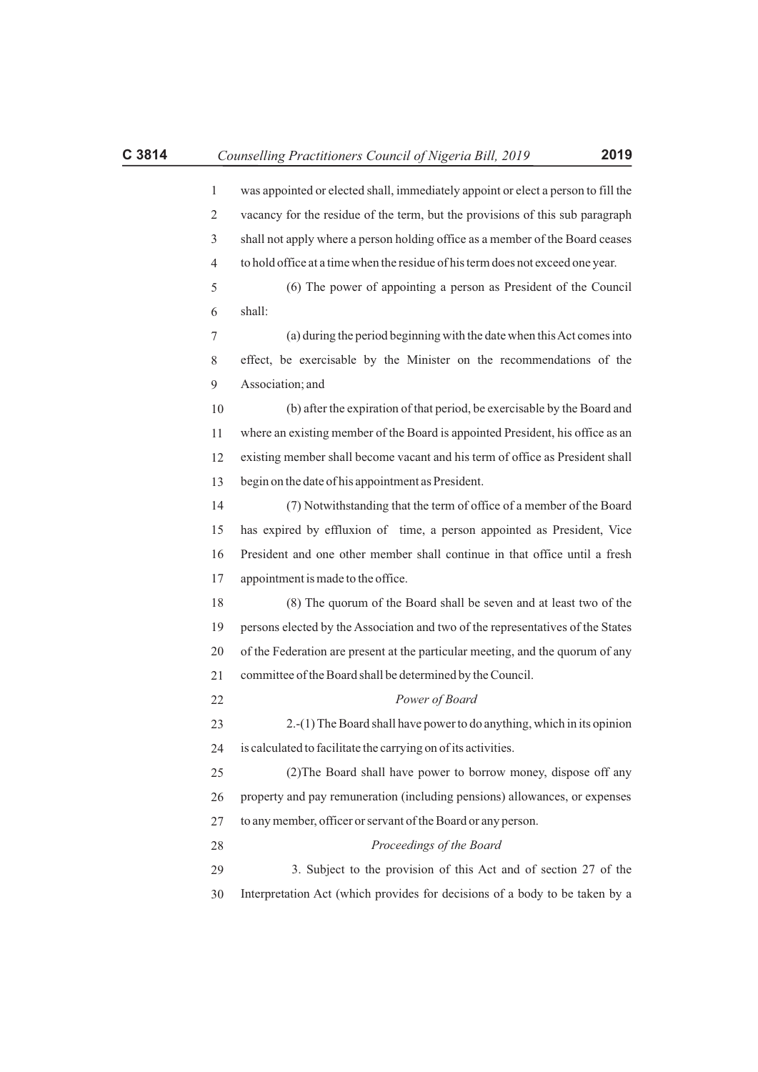| $\mathbf{1}$ | was appointed or elected shall, immediately appoint or elect a person to fill the |
|--------------|-----------------------------------------------------------------------------------|
| 2            | vacancy for the residue of the term, but the provisions of this sub paragraph     |
| 3            | shall not apply where a person holding office as a member of the Board ceases     |
| 4            | to hold office at a time when the residue of his term does not exceed one year.   |
| 5            | (6) The power of appointing a person as President of the Council                  |
| 6            | shall:                                                                            |
| 7            | (a) during the period beginning with the date when this Act comes into            |
| 8            | effect, be exercisable by the Minister on the recommendations of the              |
| 9            | Association; and                                                                  |
| 10           | (b) after the expiration of that period, be exercisable by the Board and          |
| 11           | where an existing member of the Board is appointed President, his office as an    |
| 12           | existing member shall become vacant and his term of office as President shall     |
| 13           | begin on the date of his appointment as President.                                |
| 14           | (7) Notwithstanding that the term of office of a member of the Board              |
| 15           | has expired by effluxion of time, a person appointed as President, Vice           |
| 16           | President and one other member shall continue in that office until a fresh        |
| 17           | appointment is made to the office.                                                |

18 19 20 21 (8) The quorum of the Board shall be seven and at least two of the persons elected by the Association and two of the representatives of the States of the Federation are present at the particular meeting, and the quorum of any committee of the Board shall be determined by the Council.

23 24 2.-(1) The Board shall have power to do anything, which in its opinion is calculated to facilitate the carrying on of its activities.

*Power of Board*

25 26 27 (2)The Board shall have power to borrow money, dispose off any property and pay remuneration (including pensions) allowances, or expenses to any member, officer or servant of the Board or any person.

### *Proceedings of the Board*

29 30 3. Subject to the provision of this Act and of section 27 of the Interpretation Act (which provides for decisions of a body to be taken by a

22

28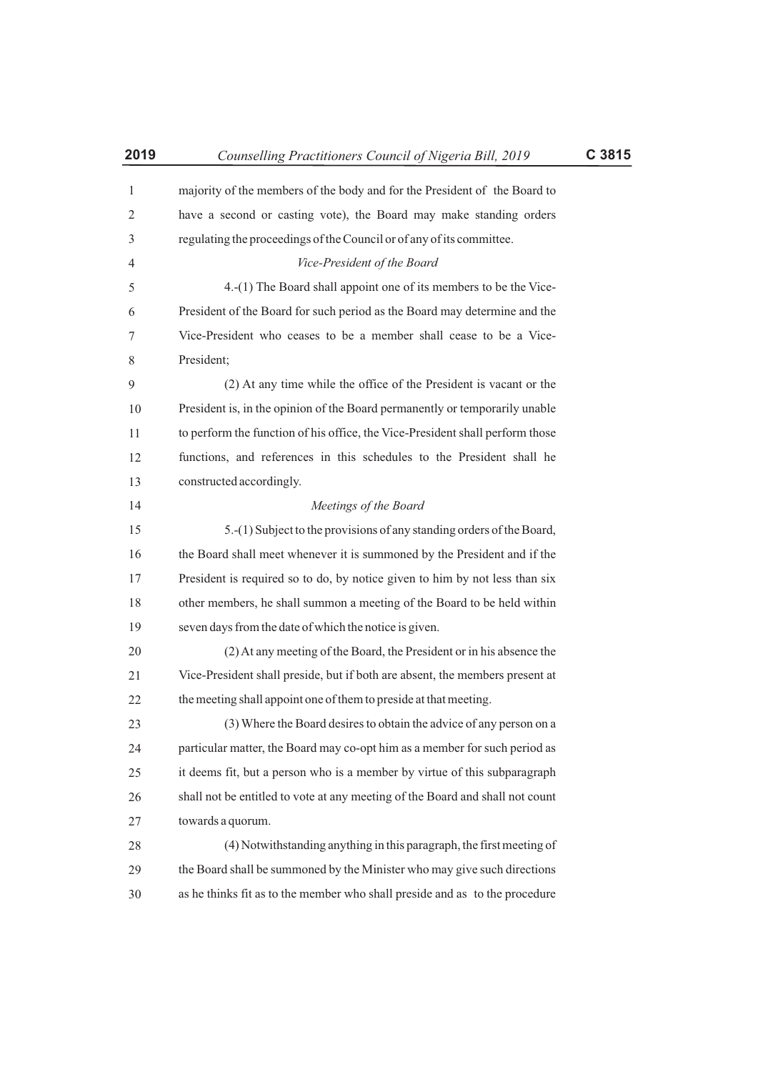| 2019 | Counselling Practitioners Council of Nigeria Bill, 2019                       | C 3815 |
|------|-------------------------------------------------------------------------------|--------|
| 1    | majority of the members of the body and for the President of the Board to     |        |
| 2    | have a second or casting vote), the Board may make standing orders            |        |
| 3    | regulating the proceedings of the Council or of any of its committee.         |        |
| 4    | Vice-President of the Board                                                   |        |
| 5    | 4.-(1) The Board shall appoint one of its members to be the Vice-             |        |
| 6    | President of the Board for such period as the Board may determine and the     |        |
| 7    | Vice-President who ceases to be a member shall cease to be a Vice-            |        |
| 8    | President;                                                                    |        |
| 9    | (2) At any time while the office of the President is vacant or the            |        |
| 10   | President is, in the opinion of the Board permanently or temporarily unable   |        |
| 11   | to perform the function of his office, the Vice-President shall perform those |        |
| 12   | functions, and references in this schedules to the President shall he         |        |
| 13   | constructed accordingly.                                                      |        |
| 14   | Meetings of the Board                                                         |        |
| 15   | 5.-(1) Subject to the provisions of any standing orders of the Board,         |        |
| 16   | the Board shall meet whenever it is summoned by the President and if the      |        |
| 17   | President is required so to do, by notice given to him by not less than six   |        |
| 18   | other members, he shall summon a meeting of the Board to be held within       |        |
| 19   | seven days from the date of which the notice is given.                        |        |
| 20   | (2) At any meeting of the Board, the President or in his absence the          |        |
| 21   | Vice-President shall preside, but if both are absent, the members present at  |        |
| 22   | the meeting shall appoint one of them to preside at that meeting.             |        |
| 23   | (3) Where the Board desires to obtain the advice of any person on a           |        |
| 24   | particular matter, the Board may co-opt him as a member for such period as    |        |
| 25   | it deems fit, but a person who is a member by virtue of this subparagraph     |        |
| 26   | shall not be entitled to vote at any meeting of the Board and shall not count |        |
| 27   | towards a quorum.                                                             |        |
| 28   | (4) Notwithstanding anything in this paragraph, the first meeting of          |        |
| 29   | the Board shall be summoned by the Minister who may give such directions      |        |
| 30   | as he thinks fit as to the member who shall preside and as to the procedure   |        |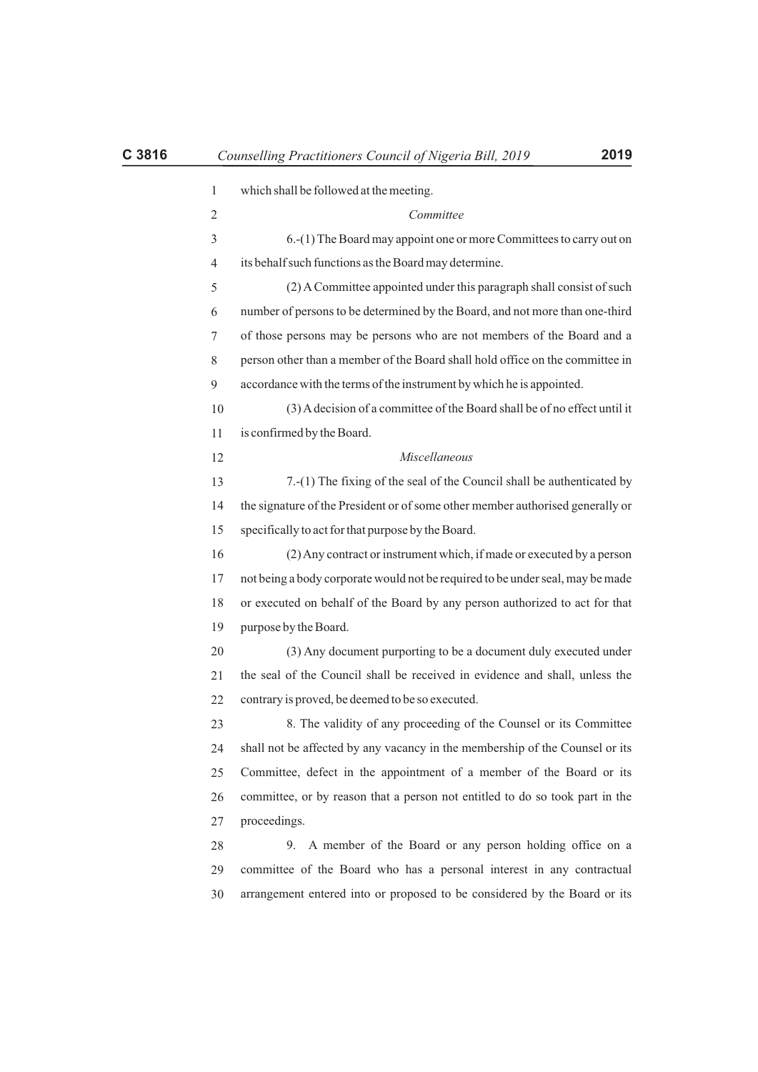| $\mathbf{1}$ | which shall be followed at the meeting.                                        |
|--------------|--------------------------------------------------------------------------------|
| 2            | Committee                                                                      |
| 3            | 6.-(1) The Board may appoint one or more Committees to carry out on            |
| 4            | its behalf such functions as the Board may determine.                          |
| 5            | (2) A Committee appointed under this paragraph shall consist of such           |
| 6            | number of persons to be determined by the Board, and not more than one-third   |
| 7            | of those persons may be persons who are not members of the Board and a         |
| 8            | person other than a member of the Board shall hold office on the committee in  |
| 9            | accordance with the terms of the instrument by which he is appointed.          |
| 10           | (3) A decision of a committee of the Board shall be of no effect until it      |
| 11           | is confirmed by the Board.                                                     |
| 12           | Miscellaneous                                                                  |
| 13           | 7.-(1) The fixing of the seal of the Council shall be authenticated by         |
| 14           | the signature of the President or of some other member authorised generally or |
| 15           | specifically to act for that purpose by the Board.                             |
| 16           | (2) Any contract or instrument which, if made or executed by a person          |
| 17           | not being a body corporate would not be required to be under seal, may be made |
| 18           | or executed on behalf of the Board by any person authorized to act for that    |
| 19           | purpose by the Board.                                                          |
| 20           | (3) Any document purporting to be a document duly executed under               |
| 21           | the seal of the Council shall be received in evidence and shall, unless the    |
| 22           | contrary is proved, be deemed to be so executed.                               |
| 23           | 8. The validity of any proceeding of the Counsel or its Committee              |
| 24           | shall not be affected by any vacancy in the membership of the Counsel or its   |
| 25           | Committee, defect in the appointment of a member of the Board or its           |
| 26           | committee, or by reason that a person not entitled to do so took part in the   |
| 27           | proceedings.                                                                   |
| 28           | 9. A member of the Board or any person holding office on a                     |
| 29           | committee of the Board who has a personal interest in any contractual          |
| 30           | arrangement entered into or proposed to be considered by the Board or its      |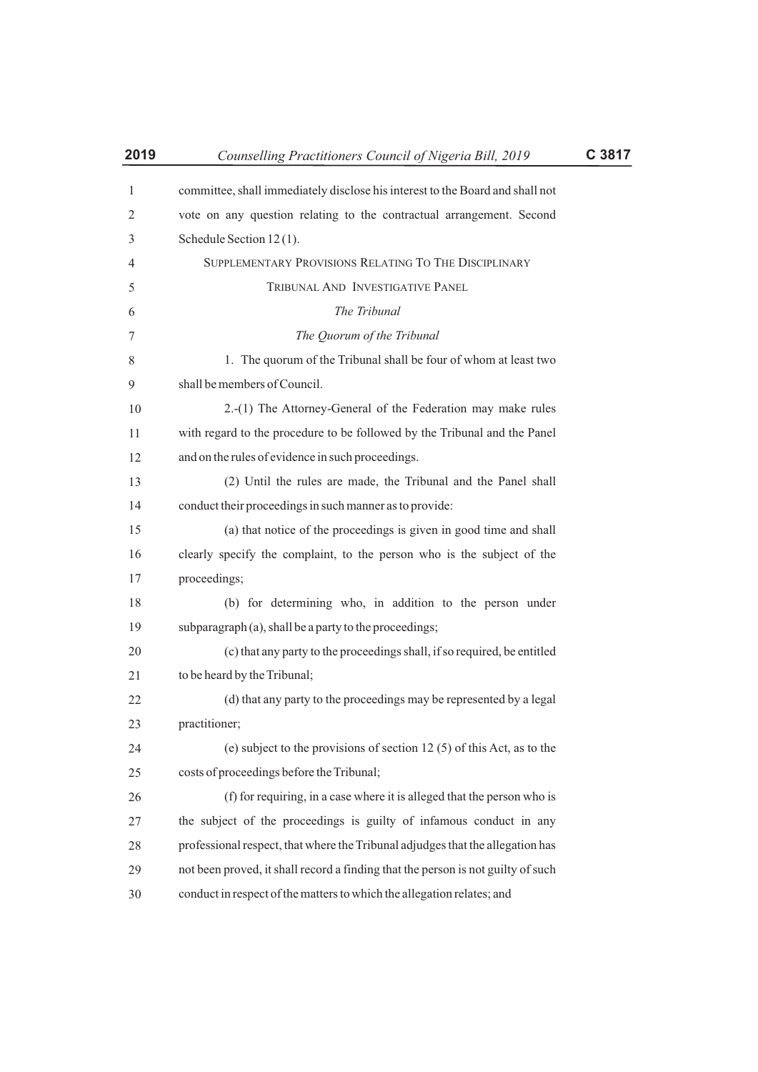| 2019 | Counselling Practitioners Council of Nigeria Bill, 2019                          | C 3817 |
|------|----------------------------------------------------------------------------------|--------|
| 1    | committee, shall immediately disclose his interest to the Board and shall not    |        |
| 2    | vote on any question relating to the contractual arrangement. Second             |        |
| 3    | Schedule Section 12(1).                                                          |        |
| 4    | SUPPLEMENTARY PROVISIONS RELATING TO THE DISCIPLINARY                            |        |
| 5    | TRIBUNAL AND INVESTIGATIVE PANEL                                                 |        |
| 6    | The Tribunal                                                                     |        |
| 7    | The Quorum of the Tribunal                                                       |        |
| 8    | 1. The quorum of the Tribunal shall be four of whom at least two                 |        |
| 9    | shall be members of Council.                                                     |        |
| 10   | 2.-(1) The Attorney-General of the Federation may make rules                     |        |
| 11   | with regard to the procedure to be followed by the Tribunal and the Panel        |        |
| 12   | and on the rules of evidence in such proceedings.                                |        |
| 13   | (2) Until the rules are made, the Tribunal and the Panel shall                   |        |
| 14   | conduct their proceedings in such manner as to provide:                          |        |
| 15   | (a) that notice of the proceedings is given in good time and shall               |        |
| 16   | clearly specify the complaint, to the person who is the subject of the           |        |
| 17   | proceedings;                                                                     |        |
| 18   | (b) for determining who, in addition to the person under                         |        |
| 19   | subparagraph (a), shall be a party to the proceedings;                           |        |
| 20   | (c) that any party to the proceedings shall, if so required, be entitled         |        |
| 21   | to be heard by the Tribunal;                                                     |        |
| 22   | (d) that any party to the proceedings may be represented by a legal              |        |
| 23   | practitioner;                                                                    |        |
| 24   | (e) subject to the provisions of section 12 $(5)$ of this Act, as to the         |        |
| 25   | costs of proceedings before the Tribunal;                                        |        |
| 26   | (f) for requiring, in a case where it is alleged that the person who is          |        |
| 27   | the subject of the proceedings is guilty of infamous conduct in any              |        |
| 28   | professional respect, that where the Tribunal adjudges that the allegation has   |        |
| 29   | not been proved, it shall record a finding that the person is not guilty of such |        |
| 30   | conduct in respect of the matters to which the allegation relates; and           |        |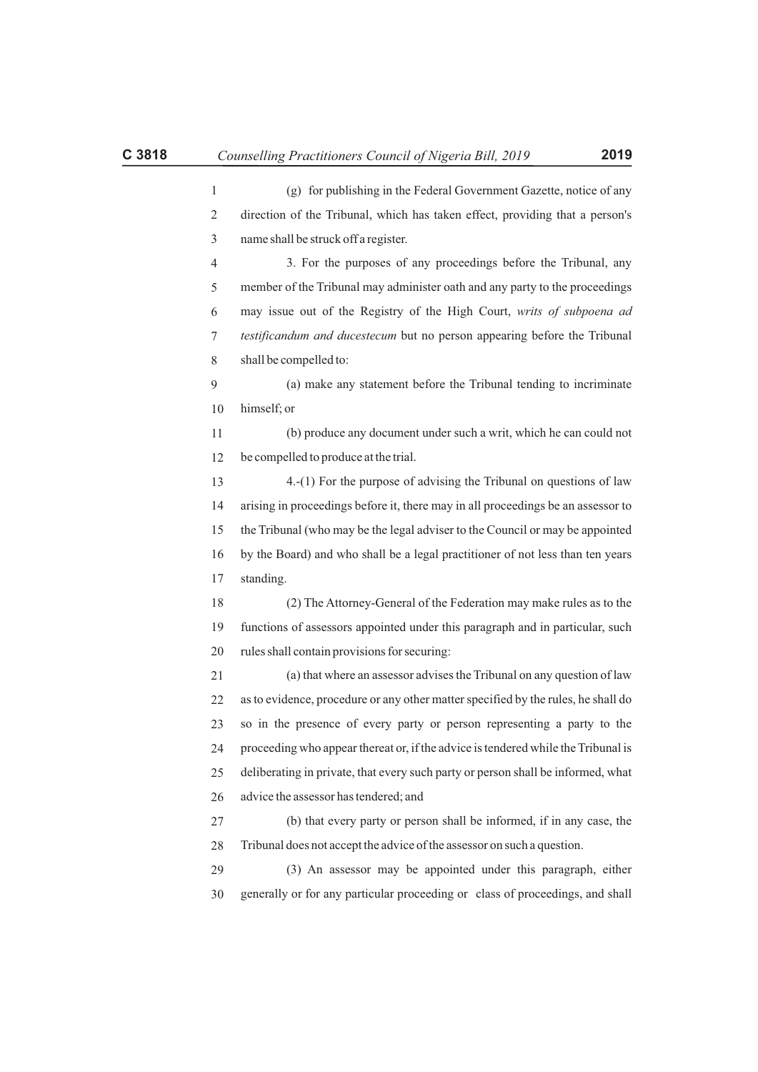| direction of the Tribunal, which has taken effect, providing that a person's |
|------------------------------------------------------------------------------|
| name shall be struck off a register.                                         |
| 3. For the purposes of any proceedings before the Tribunal, any              |
| member of the Tribunal may administer oath and any party to the proceedings  |
| may issue out of the Registry of the High Court, writs of subpoena ad        |
| testificandum and ducestecum but no person appearing before the Tribunal     |
| shall be compelled to:                                                       |
| (a) make any statement before the Tribunal tending to incriminate            |

(g) for publishing in the Federal Government Gazette, notice of any

10 himself; or

11 12 (b) produce any document under such a writ, which he can could not be compelled to produce at the trial.

13 14 15 16 17 4.-(1) For the purpose of advising the Tribunal on questions of law arising in proceedings before it, there may in all proceedings be an assessor to the Tribunal (who may be the legal adviser to the Council or may be appointed by the Board) and who shall be a legal practitioner of not less than ten years standing.

18 19 20 (2) The Attorney-General of the Federation may make rules as to the functions of assessors appointed under this paragraph and in particular, such rules shall contain provisions for securing:

21 22 23 24 25 26 (a) that where an assessor advises the Tribunal on any question of law as to evidence, procedure or any other matter specified by the rules, he shall do so in the presence of every party or person representing a party to the proceeding who appear thereat or, if the advice is tendered while the Tribunal is deliberating in private, that every such party or person shall be informed, what advice the assessor has tendered; and

27 28 (b) that every party or person shall be informed, if in any case, the Tribunal does not accept the advice of the assessor on such a question.

29 30 (3) An assessor may be appointed under this paragraph, either generally or for any particular proceeding or class of proceedings, and shall